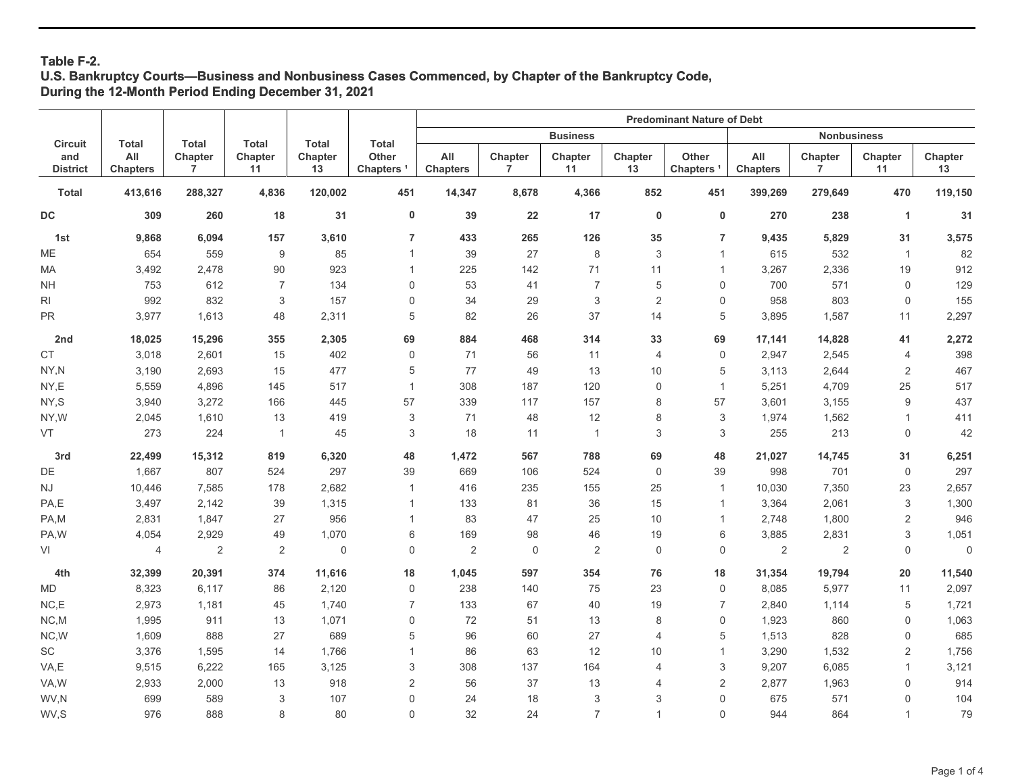# **Table F-2.**

## **U.S. Bankruptcy Courts—Business and Nonbusiness Cases Commenced, by Chapter of the Bankruptcy Code, During the 12-Month Period Ending December 31, 2021**

|                        |                        |                           |                           |               |                                | <b>Predominant Nature of Debt</b> |              |                           |                |                          |                        |                    |               |                     |
|------------------------|------------------------|---------------------------|---------------------------|---------------|--------------------------------|-----------------------------------|--------------|---------------------------|----------------|--------------------------|------------------------|--------------------|---------------|---------------------|
| <b>Circuit</b>         | <b>Total</b>           | <b>Total</b>              | <b>Total</b>              | <b>Total</b>  | <b>Total</b>                   |                                   |              | <b>Business</b>           |                |                          |                        | <b>Nonbusiness</b> |               |                     |
| and<br><b>District</b> | All<br><b>Chapters</b> | Chapter<br>$\overline{7}$ | Chapter<br>11             | Chapter<br>13 | Other<br>Chapters <sup>1</sup> | All<br><b>Chapters</b>            | Chapter<br>7 | Chapter<br>11             | Chapter<br>13  | Other<br><b>Chapters</b> | All<br><b>Chapters</b> | Chapter<br>7       | Chapter<br>11 | Chapter<br>13       |
| <b>Total</b>           | 413,616                | 288,327                   | 4,836                     | 120,002       | 451                            | 14,347                            | 8,678        | 4,366                     | 852            | 451                      | 399,269                | 279,649            | 470           | 119,150             |
| DC                     | 309                    | 260                       | 18                        | 31            | 0                              | 39                                | 22           | 17                        | $\pmb{0}$      | $\pmb{0}$                | 270                    | 238                | 1             | 31                  |
| 1st                    | 9,868                  | 6,094                     | 157                       | 3,610         | $\overline{7}$                 | 433                               | 265          | 126                       | 35             | $\overline{7}$           | 9,435                  | 5,829              | 31            | 3,575               |
| ME                     | 654                    | 559                       | 9                         | 85            | $\mathbf{1}$                   | 39                                | 27           | $\,8\,$                   | 3              | $\mathbf{1}$             | 615                    | 532                | $\mathbf{1}$  | 82                  |
| МA                     | 3,492                  | 2,478                     | 90                        | 923           | $\overline{1}$                 | 225                               | 142          | 71                        | 11             | $\mathbf{1}$             | 3,267                  | 2,336              | 19            | 912                 |
| <b>NH</b>              | 753                    | 612                       | $\overline{7}$            | 134           | $\Omega$                       | 53                                | 41           | $\overline{7}$            | 5              | 0                        | 700                    | 571                | $\mathbf 0$   | 129                 |
| RI                     | 992                    | 832                       | $\ensuremath{\mathsf{3}}$ | 157           | $\mathsf{O}\xspace$            | 34                                | 29           | $\ensuremath{\mathsf{3}}$ | $\overline{c}$ | $\mathsf 0$              | 958                    | 803                | 0             | 155                 |
| <b>PR</b>              | 3,977                  | 1,613                     | 48                        | 2,311         | 5                              | 82                                | 26           | 37                        | 14             | 5                        | 3,895                  | 1,587              | 11            | 2,297               |
| 2nd                    | 18,025                 | 15,296                    | 355                       | 2,305         | 69                             | 884                               | 468          | 314                       | 33             | 69                       | 17,141                 | 14,828             | 41            | 2,272               |
| CT                     | 3,018                  | 2,601                     | 15                        | 402           | $\mathsf 0$                    | 71                                | 56           | 11                        | 4              | $\mathsf 0$              | 2,947                  | 2,545              | 4             | 398                 |
| NY,N                   | 3,190                  | 2,693                     | 15                        | 477           | 5                              | 77                                | 49           | 13                        | 10             | 5                        | 3,113                  | 2,644              | 2             | 467                 |
| NY,E                   | 5,559                  | 4,896                     | 145                       | 517           | $\mathbf{1}$                   | 308                               | 187          | 120                       | 0              | $\mathbf{1}$             | 5,251                  | 4,709              | 25            | 517                 |
| NY,S                   | 3,940                  | 3,272                     | 166                       | 445           | 57                             | 339                               | 117          | 157                       | 8              | 57                       | 3,601                  | 3,155              | $9$           | 437                 |
| NY,W                   | 2,045                  | 1,610                     | 13                        | 419           | 3                              | 71                                | 48           | 12                        | 8              | 3                        | 1,974                  | 1,562              | $\mathbf{1}$  | 411                 |
| VT                     | 273                    | 224                       | $\overline{1}$            | 45            | 3                              | 18                                | 11           | $\mathbf{1}$              | 3              | 3                        | 255                    | 213                | $\mathbf 0$   | 42                  |
| 3rd                    | 22,499                 | 15,312                    | 819                       | 6,320         | 48                             | 1,472                             | 567          | 788                       | 69             | 48                       | 21,027                 | 14,745             | 31            | 6,251               |
| DE                     | 1,667                  | 807                       | 524                       | 297           | 39                             | 669                               | 106          | 524                       | $\mathbf 0$    | 39                       | 998                    | 701                | $\mathbf 0$   | 297                 |
| $\mathsf{N}\mathsf{J}$ | 10,446                 | 7,585                     | 178                       | 2,682         | $\mathbf{1}$                   | 416                               | 235          | 155                       | 25             | $\mathbf{1}$             | 10,030                 | 7,350              | 23            | 2,657               |
| PA,E                   | 3,497                  | 2,142                     | 39                        | 1,315         | $\mathbf{1}$                   | 133                               | 81           | 36                        | 15             | $\mathbf{1}$             | 3,364                  | 2,061              | 3             | 1,300               |
| PA,M                   | 2,831                  | 1,847                     | 27                        | 956           | $\overline{1}$                 | 83                                | 47           | 25                        | 10             | $\mathbf{1}$             | 2,748                  | 1,800              | 2             | 946                 |
| PA,W                   | 4,054                  | 2,929                     | 49                        | 1,070         | 6                              | 169                               | 98           | 46                        | 19             | 6                        | 3,885                  | 2,831              | 3             | 1,051               |
| VI                     | 4                      | $\sqrt{2}$                | $\overline{2}$            | $\mathsf{0}$  | $\mathbf 0$                    | 2                                 | $\mathbf 0$  | $\overline{2}$            | $\mathsf 0$    | 0                        | 2                      | $\overline{2}$     | $\mathbf 0$   | $\mathsf{O}\xspace$ |
| 4th                    | 32,399                 | 20,391                    | 374                       | 11,616        | 18                             | 1,045                             | 597          | 354                       | 76             | 18                       | 31,354                 | 19,794             | 20            | 11,540              |
| MD                     | 8,323                  | 6,117                     | 86                        | 2,120         | $\mathsf 0$                    | 238                               | 140          | 75                        | 23             | 0                        | 8,085                  | 5,977              | 11            | 2,097               |
| NC, E                  | 2,973                  | 1,181                     | 45                        | 1,740         | $\overline{7}$                 | 133                               | 67           | 40                        | 19             | $\overline{7}$           | 2,840                  | 1,114              | 5             | 1,721               |
| NC.M                   | 1,995                  | 911                       | 13                        | 1,071         | $\mathsf{O}\xspace$            | 72                                | 51           | 13                        | 8              | 0                        | 1,923                  | 860                | 0             | 1,063               |
| NC, W                  | 1,609                  | 888                       | 27                        | 689           | 5                              | 96                                | 60           | 27                        | 4              | 5                        | 1,513                  | 828                | 0             | 685                 |
| SC                     | 3,376                  | 1,595                     | 14                        | 1,766         | $\mathbf{1}$                   | 86                                | 63           | 12                        | 10             | $\mathbf{1}$             | 3,290                  | 1,532              | 2             | 1,756               |
| VA,E                   | 9,515                  | 6,222                     | 165                       | 3,125         | 3                              | 308                               | 137          | 164                       | 4              | 3                        | 9,207                  | 6,085              | $\mathbf{1}$  | 3,121               |
| VA,W                   | 2,933                  | 2,000                     | 13                        | 918           | $\sqrt{2}$                     | 56                                | 37           | 13                        | 4              | $\sqrt{2}$               | 2,877                  | 1,963              | 0             | 914                 |
| WV,N                   | 699                    | 589                       | 3                         | 107           | $\mathbf 0$                    | 24                                | 18           | 3                         | 3              | $\mathbf 0$              | 675                    | 571                | 0             | 104                 |
| WV,S                   | 976                    | 888                       | 8                         | 80            | $\mathbf 0$                    | 32                                | 24           | $\overline{7}$            | $\mathbf{1}$   | $\mathbf 0$              | 944                    | 864                | $\mathbf{1}$  | 79                  |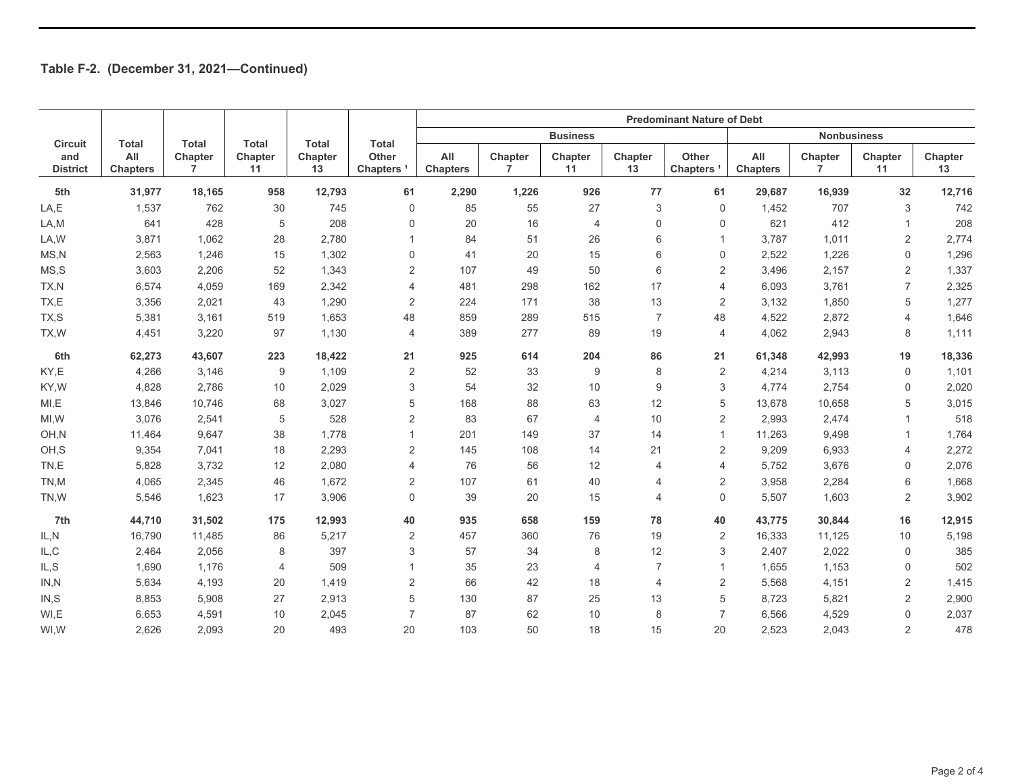|                        |                        |                           |                |               |                                | <b>Predominant Nature of Debt</b> |              |                 |                |                                |                        |                           |                 |               |
|------------------------|------------------------|---------------------------|----------------|---------------|--------------------------------|-----------------------------------|--------------|-----------------|----------------|--------------------------------|------------------------|---------------------------|-----------------|---------------|
| <b>Circuit</b>         | <b>Total</b>           | <b>Total</b>              | <b>Total</b>   | <b>Total</b>  | <b>Total</b>                   |                                   |              | <b>Business</b> |                |                                |                        | <b>Nonbusiness</b>        |                 |               |
| and<br><b>District</b> | All<br><b>Chapters</b> | Chapter<br>$\overline{7}$ | Chapter<br>11  | Chapter<br>13 | Other<br>Chapters <sup>1</sup> | All<br><b>Chapters</b>            | Chapter<br>7 | Chapter<br>11   | Chapter<br>13  | Other<br>Chapters <sup>1</sup> | All<br><b>Chapters</b> | Chapter<br>$\overline{7}$ | Chapter<br>11   | Chapter<br>13 |
| 5th                    | 31,977                 | 18,165                    | 958            | 12,793        | 61                             | 2,290                             | 1,226        | 926             | 77             | 61                             | 29,687                 | 16,939                    | 32 <sup>2</sup> | 12,716        |
| LA,E                   | 1,537                  | 762                       | 30             | 745           | $\mathbf 0$                    | 85                                | 55           | 27              | 3              | 0                              | 1,452                  | 707                       | 3               | 742           |
| LA,M                   | 641                    | 428                       | 5              | 208           | $\mathbf 0$                    | 20                                | 16           | 4               | 0              | $\mathbf 0$                    | 621                    | 412                       | $\mathbf{1}$    | 208           |
| LA, W                  | 3,871                  | 1,062                     | 28             | 2,780         |                                | 84                                | 51           | 26              | 6              | $\mathbf 1$                    | 3,787                  | 1,011                     | 2               | 2,774         |
| MS, N                  | 2,563                  | 1,246                     | 15             | 1,302         | $\mathbf 0$                    | 41                                | 20           | 15              | 6              | $\mathbf 0$                    | 2,522                  | 1,226                     | 0               | 1,296         |
| MS, S                  | 3,603                  | 2,206                     | 52             | 1,343         | $\overline{2}$                 | 107                               | 49           | 50              | 6              | $\overline{2}$                 | 3,496                  | 2,157                     | $\overline{2}$  | 1,337         |
| TX,N                   | 6,574                  | 4,059                     | 169            | 2,342         | 4                              | 481                               | 298          | 162             | 17             | 4                              | 6,093                  | 3,761                     | 7               | 2,325         |
| TX,E                   | 3,356                  | 2,021                     | 43             | 1,290         | $\overline{2}$                 | 224                               | 171          | 38              | 13             | $\overline{2}$                 | 3,132                  | 1,850                     | 5               | 1,277         |
| TX,S                   | 5,381                  | 3,161                     | 519            | 1,653         | 48                             | 859                               | 289          | 515             | $\overline{7}$ | 48                             | 4,522                  | 2,872                     | 4               | 1,646         |
| TX, W                  | 4,451                  | 3,220                     | 97             | 1,130         | $\overline{4}$                 | 389                               | 277          | 89              | 19             | 4                              | 4,062                  | 2,943                     | 8               | 1,111         |
| 6th                    | 62,273                 | 43,607                    | 223            | 18,422        | 21                             | 925                               | 614          | 204             | 86             | 21                             | 61,348                 | 42,993                    | 19              | 18,336        |
| KY,E                   | 4,266                  | 3,146                     | 9              | 1,109         | 2                              | 52                                | 33           | 9               | 8              | $\overline{2}$                 | 4,214                  | 3,113                     | 0               | 1,101         |
| KY,W                   | 4,828                  | 2,786                     | 10             | 2,029         | 3                              | 54                                | 32           | 10              | 9              | 3                              | 4,774                  | 2,754                     | 0               | 2,020         |
| MI, E                  | 13,846                 | 10,746                    | 68             | 3,027         | 5                              | 168                               | 88           | 63              | 12             | 5                              | 13,678                 | 10,658                    | 5               | 3,015         |
| MI, W                  | 3,076                  | 2,541                     | 5              | 528           | $\overline{2}$                 | 83                                | 67           | 4               | 10             | $\overline{2}$                 | 2,993                  | 2,474                     | -1              | 518           |
| OH,N                   | 11,464                 | 9,647                     | 38             | 1,778         |                                | 201                               | 149          | 37              | 14             | $\mathbf{1}$                   | 11,263                 | 9,498                     | 1               | 1,764         |
| OH,S                   | 9,354                  | 7,041                     | 18             | 2,293         | 2                              | 145                               | 108          | 14              | 21             | $\overline{2}$                 | 9,209                  | 6,933                     | 4               | 2,272         |
| TN,E                   | 5,828                  | 3,732                     | 12             | 2,080         | 4                              | 76                                | 56           | 12              | 4              | $\overline{4}$                 | 5,752                  | 3,676                     | 0               | 2,076         |
| TN,M                   | 4,065                  | 2,345                     | 46             | 1,672         | $\overline{2}$                 | 107                               | 61           | 40              | 4              | 2                              | 3,958                  | 2,284                     | 6               | 1,668         |
| TN,W                   | 5,546                  | 1,623                     | 17             | 3,906         | $\mathbf 0$                    | 39                                | 20           | 15              | 4              | $\mathbf 0$                    | 5,507                  | 1,603                     | $\overline{2}$  | 3,902         |
| 7th                    | 44,710                 | 31,502                    | 175            | 12,993        | 40                             | 935                               | 658          | 159             | 78             | 40                             | 43,775                 | 30,844                    | 16              | 12,915        |
| IL, N                  | 16,790                 | 11,485                    | 86             | 5,217         | $\overline{2}$                 | 457                               | 360          | 76              | 19             | $\overline{2}$                 | 16,333                 | 11,125                    | 10              | 5,198         |
| IL, C                  | 2,464                  | 2,056                     | 8              | 397           | 3                              | 57                                | 34           | 8               | 12             | 3                              | 2,407                  | 2,022                     | $\mathbf 0$     | 385           |
| IL, S                  | 1,690                  | 1,176                     | $\overline{4}$ | 509           | 1                              | 35                                | 23           | $\overline{4}$  | $\overline{7}$ | $\mathbf{1}$                   | 1,655                  | 1,153                     | 0               | 502           |
| IN, N                  | 5,634                  | 4,193                     | 20             | 1,419         | 2                              | 66                                | 42           | 18              | $\overline{4}$ | $\overline{2}$                 | 5,568                  | 4,151                     | $\overline{2}$  | 1,415         |
| IN, S                  | 8,853                  | 5,908                     | 27             | 2,913         | 5                              | 130                               | 87           | 25              | 13             | 5                              | 8,723                  | 5,821                     | $\overline{2}$  | 2,900         |
| WI,E                   | 6,653                  | 4,591                     | 10             | 2,045         | $\overline{7}$                 | 87                                | 62           | 10              | 8              | $\overline{7}$                 | 6,566                  | 4,529                     | $\Omega$        | 2,037         |
| WI,W                   | 2,626                  | 2,093                     | 20             | 493           | 20                             | 103                               | 50           | 18              | 15             | 20                             | 2,523                  | 2,043                     | 2               | 478           |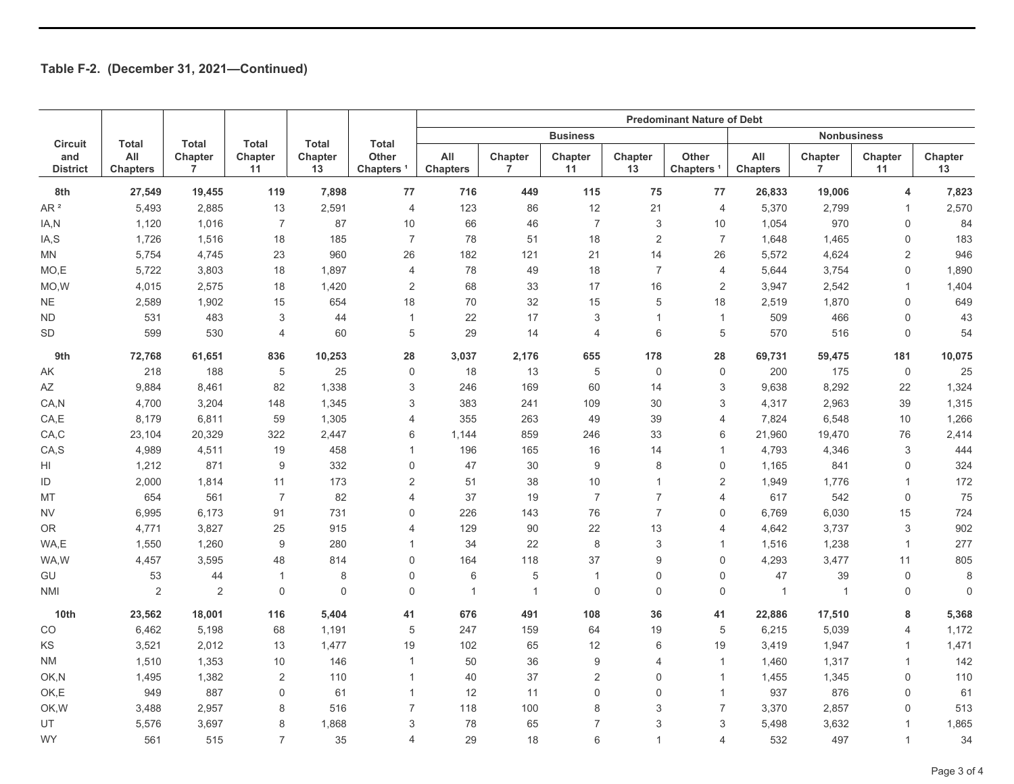|                        |                                        |                           |                           |               |                                                | <b>Predominant Nature of Debt</b> |                           |                  |                |                          |                        |                           |                |                     |
|------------------------|----------------------------------------|---------------------------|---------------------------|---------------|------------------------------------------------|-----------------------------------|---------------------------|------------------|----------------|--------------------------|------------------------|---------------------------|----------------|---------------------|
| <b>Circuit</b>         | <b>Total</b><br>All<br><b>Chapters</b> | <b>Total</b>              | <b>Total</b>              | <b>Total</b>  | <b>Total</b><br>Other<br>Chapters <sup>1</sup> | <b>Business</b>                   |                           |                  |                |                          |                        | <b>Nonbusiness</b>        |                |                     |
| and<br><b>District</b> |                                        | Chapter<br>$\overline{7}$ | Chapter<br>11             | Chapter<br>13 |                                                | All<br><b>Chapters</b>            | Chapter<br>$\overline{7}$ | Chapter<br>11    | Chapter<br>13  | Other<br><b>Chapters</b> | All<br><b>Chapters</b> | Chapter<br>$\overline{7}$ | Chapter<br>11  | Chapter<br>13       |
| 8th                    | 27,549                                 | 19,455                    | 119                       | 7,898         | 77                                             | 716                               | 449                       | 115              | 75             | 77                       | 26,833                 | 19,006                    | 4              | 7,823               |
| AR $^{\rm 2}$          | 5,493                                  | 2,885                     | 13                        | 2,591         | $\overline{4}$                                 | 123                               | 86                        | 12               | 21             | $\overline{4}$           | 5,370                  | 2,799                     | $\mathbf{1}$   | 2,570               |
| IA,N                   | 1,120                                  | 1,016                     | $\overline{7}$            | 87            | 10                                             | 66                                | 46                        | $\overline{7}$   | 3              | 10                       | 1,054                  | 970                       | $\Omega$       | 84                  |
| IA, S                  | 1,726                                  | 1,516                     | 18                        | 185           | $\overline{7}$                                 | 78                                | 51                        | 18               | $\overline{2}$ | $\overline{7}$           | 1,648                  | 1,465                     | 0              | 183                 |
| MN                     | 5,754                                  | 4,745                     | 23                        | 960           | 26                                             | 182                               | 121                       | 21               | 14             | 26                       | 5,572                  | 4,624                     | $\overline{2}$ | 946                 |
| MO,E                   | 5,722                                  | 3,803                     | 18                        | 1,897         | $\overline{4}$                                 | 78                                | 49                        | 18               | $\overline{7}$ | $\overline{4}$           | 5,644                  | 3,754                     | $\mathbf 0$    | 1,890               |
| MO, W                  | 4,015                                  | 2,575                     | 18                        | 1,420         | $\sqrt{2}$                                     | 68                                | 33                        | 17               | 16             | 2                        | 3,947                  | 2,542                     | $\mathbf{1}$   | 1,404               |
| <b>NE</b>              | 2,589                                  | 1,902                     | 15                        | 654           | 18                                             | 70                                | 32                        | 15               | 5              | 18                       | 2,519                  | 1,870                     | 0              | 649                 |
| <b>ND</b>              | 531                                    | 483                       | $\ensuremath{\mathsf{3}}$ | 44            | $\mathbf{1}$                                   | 22                                | 17                        | 3                | $\overline{1}$ | $\mathbf{1}$             | 509                    | 466                       | $\Omega$       | 43                  |
| <b>SD</b>              | 599                                    | 530                       | $\overline{4}$            | 60            | 5                                              | 29                                | 14                        | $\overline{4}$   | 6              | 5                        | 570                    | 516                       | $\Omega$       | 54                  |
| 9th                    | 72,768                                 | 61,651                    | 836                       | 10,253        | 28                                             | 3,037                             | 2,176                     | 655              | 178            | 28                       | 69,731                 | 59,475                    | 181            | 10,075              |
| AΚ                     | 218                                    | 188                       | 5                         | 25            | $\mathbf 0$                                    | 18                                | 13                        | $\,$ 5 $\,$      | 0              | $\mathsf{O}\xspace$      | 200                    | 175                       | $\mathbf 0$    | 25                  |
| AZ                     | 9,884                                  | 8,461                     | 82                        | 1,338         | 3                                              | 246                               | 169                       | 60               | 14             | 3                        | 9,638                  | 8,292                     | 22             | 1,324               |
| CA,N                   | 4,700                                  | 3,204                     | 148                       | 1,345         | $\ensuremath{\mathsf{3}}$                      | 383                               | 241                       | 109              | 30             | 3                        | 4,317                  | 2,963                     | 39             | 1,315               |
| CA, E                  | 8,179                                  | 6,811                     | 59                        | 1,305         | $\overline{4}$                                 | 355                               | 263                       | 49               | 39             | $\overline{4}$           | 7,824                  | 6,548                     | 10             | 1,266               |
| CA, C                  | 23,104                                 | 20,329                    | 322                       | 2,447         | 6                                              | 1,144                             | 859                       | 246              | 33             | 6                        | 21,960                 | 19,470                    | 76             | 2,414               |
| CA,S                   | 4,989                                  | 4,511                     | 19                        | 458           | $\overline{1}$                                 | 196                               | 165                       | 16               | 14             | 1                        | 4,793                  | 4,346                     | 3              | 444                 |
| HI                     | 1,212                                  | 871                       | 9                         | 332           | $\mathbf 0$                                    | 47                                | 30                        | $9\,$            | 8              | $\mathsf{O}\xspace$      | 1,165                  | 841                       | 0              | 324                 |
| ID                     | 2,000                                  | 1,814                     | 11                        | 173           | $\overline{2}$                                 | 51                                | 38                        | 10               | $\mathbf{1}$   | $\overline{2}$           | 1,949                  | 1,776                     | $\mathbf{1}$   | 172                 |
| MT                     | 654                                    | 561                       | $\overline{7}$            | 82            | $\overline{4}$                                 | 37                                | 19                        | $\overline{7}$   | $\overline{7}$ | 4                        | 617                    | 542                       | $\mathbf 0$    | 75                  |
| <b>NV</b>              | 6,995                                  | 6,173                     | 91                        | 731           | $\mathbf 0$                                    | 226                               | 143                       | 76               | $\overline{7}$ | 0                        | 6,769                  | 6,030                     | 15             | 724                 |
| <b>OR</b>              | 4,771                                  | 3,827                     | 25                        | 915           | 4                                              | 129                               | 90                        | 22               | 13             | 4                        | 4,642                  | 3,737                     | 3              | 902                 |
| WA,E                   | 1,550                                  | 1,260                     | 9                         | 280           | 1                                              | 34                                | 22                        | $\,8\,$          | 3              | 1                        | 1,516                  | 1,238                     | $\mathbf{1}$   | 277                 |
| WA,W                   | 4,457                                  | 3,595                     | 48                        | 814           | $\mathbf 0$                                    | 164                               | 118                       | 37               | 9              | $\mathsf{O}\xspace$      | 4,293                  | 3,477                     | 11             | 805                 |
| GU                     | 53                                     | 44                        | $\overline{1}$            | 8             | $\mathbf 0$                                    | 6                                 | 5                         | $\mathbf{1}$     | 0              | $\mathbf 0$              | 47                     | 39                        | $\mathbf 0$    | 8                   |
| <b>NMI</b>             | $\sqrt{2}$                             | 2                         | $\mathbf 0$               | $\mathbf 0$   | $\mathbf 0$                                    | $\overline{1}$                    | $\overline{1}$            | $\mathbf 0$      | 0              | $\mathbf 0$              | $\overline{1}$         | $\mathbf{1}$              | 0              | $\mathsf{O}\xspace$ |
| 10th                   | 23,562                                 | 18,001                    | 116                       | 5,404         | 41                                             | 676                               | 491                       | 108              | 36             | 41                       | 22,886                 | 17,510                    | 8              | 5,368               |
| CO                     | 6,462                                  | 5,198                     | 68                        | 1,191         | 5                                              | 247                               | 159                       | 64               | 19             | 5                        | 6,215                  | 5,039                     | $\overline{4}$ | 1,172               |
| <b>KS</b>              | 3,521                                  | 2,012                     | 13                        | 1,477         | 19                                             | 102                               | 65                        | 12               | 6              | 19                       | 3,419                  | 1,947                     | $\mathbf{1}$   | 1,471               |
| <b>NM</b>              | 1,510                                  | 1,353                     | 10                        | 146           | $\mathbf{1}$                                   | 50                                | 36                        | $\boldsymbol{9}$ | 4              | $\mathbf{1}$             | 1,460                  | 1,317                     | $\mathbf{1}$   | 142                 |
| OK,N                   | 1,495                                  | 1,382                     | $\overline{2}$            | 110           | $\overline{1}$                                 | 40                                | 37                        | 2                | 0              | $\mathbf{1}$             | 1,455                  | 1,345                     | 0              | 110                 |
| OK,E                   | 949                                    | 887                       | $\mathsf 0$               | 61            | $\mathbf{1}$                                   | 12                                | 11                        | $\mathbf 0$      | 0              | $\mathbf{1}$             | 937                    | 876                       | 0              | 61                  |
| OK, W                  | 3,488                                  | 2,957                     | 8                         | 516           | $\overline{7}$                                 | 118                               | 100                       | 8                | 3              | $\overline{7}$           | 3,370                  | 2,857                     | 0              | 513                 |
| <b>UT</b>              | 5,576                                  | 3,697                     | 8                         | 1,868         | 3                                              | 78                                | 65                        | $\overline{7}$   | 3              | 3                        | 5,498                  | 3,632                     | $\mathbf{1}$   | 1,865               |
| <b>WY</b>              | 561                                    | 515                       | $\overline{7}$            | 35            | $\overline{4}$                                 | 29                                | 18                        | 6                | $\mathbf{1}$   | 4                        | 532                    | 497                       | $\mathbf{1}$   | 34                  |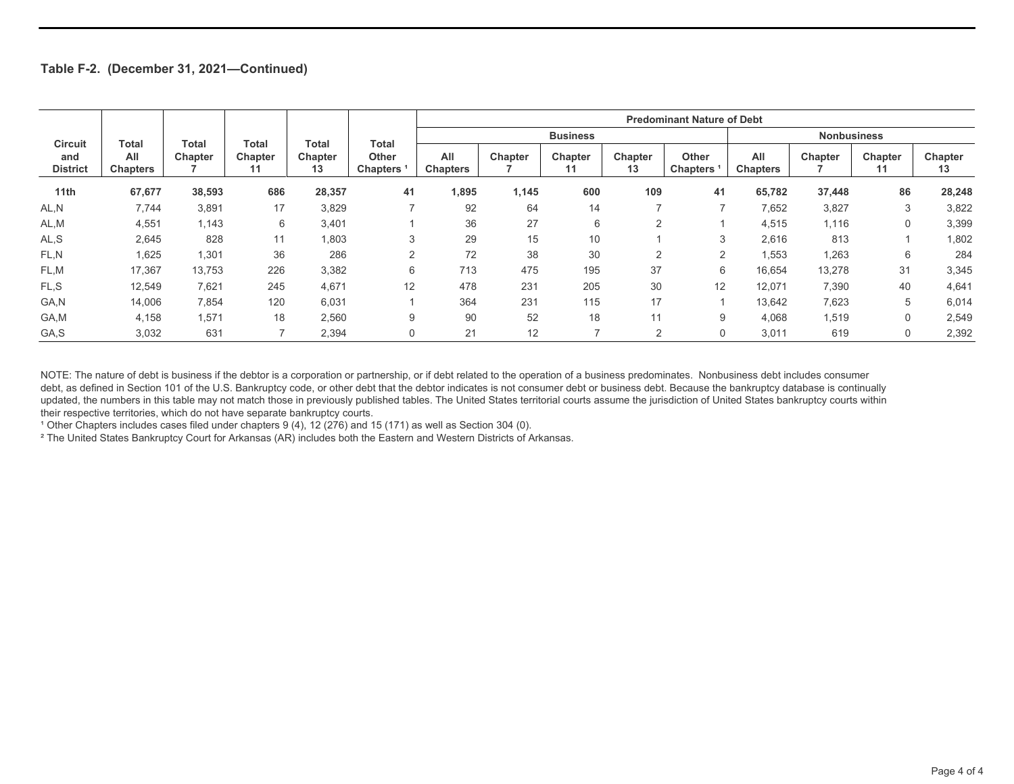|                        | Total                  | Total   | Total         | Total         |                                 | <b>Predominant Nature of Debt</b> |         |                 |               |                                       |                        |         |               |               |
|------------------------|------------------------|---------|---------------|---------------|---------------------------------|-----------------------------------|---------|-----------------|---------------|---------------------------------------|------------------------|---------|---------------|---------------|
| <b>Circuit</b>         |                        |         |               |               | Total                           |                                   |         | <b>Business</b> |               |                                       | <b>Nonbusiness</b>     |         |               |               |
| and<br><b>District</b> | All<br><b>Chapters</b> | Chapter | Chapter<br>11 | Chapter<br>13 | <b>Other</b><br><b>Chapters</b> | All<br><b>Chapters</b>            | Chapter | Chapter<br>11   | Chapter<br>13 | <b>Other</b><br>Chapters <sup>1</sup> | All<br><b>Chapters</b> | Chapter | Chapter<br>11 | Chapter<br>13 |
| 11th                   | 67,677                 | 38,593  | 686           | 28,357        | 41                              | 1,895                             | 1,145   | 600             | 109           | 41                                    | 65,782                 | 37,448  | 86            | 28,248        |
| AL,N                   | 7,744                  | 3,891   | 17            | 3,829         |                                 | 92                                | 64      | 14              | -             | $\overline{ }$                        | 7,652                  | 3,827   | 3             | 3,822         |
| AL,M                   | 4,551                  | 1,143   | 6             | 3,401         |                                 | 36                                | 27      | 6               | 2             |                                       | 4,515                  | 1,116   | $\Omega$      | 3,399         |
| AL,S                   | 2,645                  | 828     | 11            | 1,803         | 3                               | 29                                | 15      | 10              |               | 3                                     | 2,616                  | 813     |               | 1,802         |
| FL,N                   | 1,625                  | 1,301   | 36            | 286           | 2                               | 72                                | 38      | 30              | 2             | 2                                     | 1,553                  | 1,263   | 6             | 284           |
| FL,M                   | 17,367                 | 13,753  | 226           | 3,382         | 6                               | 713                               | 475     | 195             | 37            | 6                                     | 16.654                 | 13,278  | 31            | 3,345         |
| FL.S                   | 12,549                 | 7,621   | 245           | 4,671         | 12                              | 478                               | 231     | 205             | 30            | 12                                    | 12,071                 | 7,390   | 40            | 4,641         |
| GA,N                   | 14,006                 | 7,854   | 120           | 6,031         |                                 | 364                               | 231     | 115             | 17            |                                       | 13,642                 | 7,623   | 5             | 6,014         |
| GA,M                   | 4,158                  | 1,571   | 18            | 2,560         | 9                               | 90                                | 52      | 18              | 11            | 9                                     | 4,068                  | 1,519   | $\mathbf 0$   | 2,549         |
| GA,S                   | 3,032                  | 631     |               | 2,394         | $\Omega$                        | 21                                | 12      |                 | 2             | $\Omega$                              | 3,011                  | 619     | $\Omega$      | 2,392         |

NOTE: The nature of debt is business if the debtor is a corporation or partnership, or if debt related to the operation of a business predominates. Nonbusiness debt includes consumer debt, as defined in Section 101 of the U.S. Bankruptcy code, or other debt that the debtor indicates is not consumer debt or business debt. Because the bankruptcy database is continually updated, the numbers in this table may not match those in previously published tables. The United States territorial courts assume the jurisdiction of United States bankruptcy courts within their respective territories, which do not have separate bankruptcy courts.

<sup>1</sup> Other Chapters includes cases filed under chapters 9 (4), 12 (276) and 15 (171) as well as Section 304 (0).

² The United States Bankruptcy Court for Arkansas (AR) includes both the Eastern and Western Districts of Arkansas.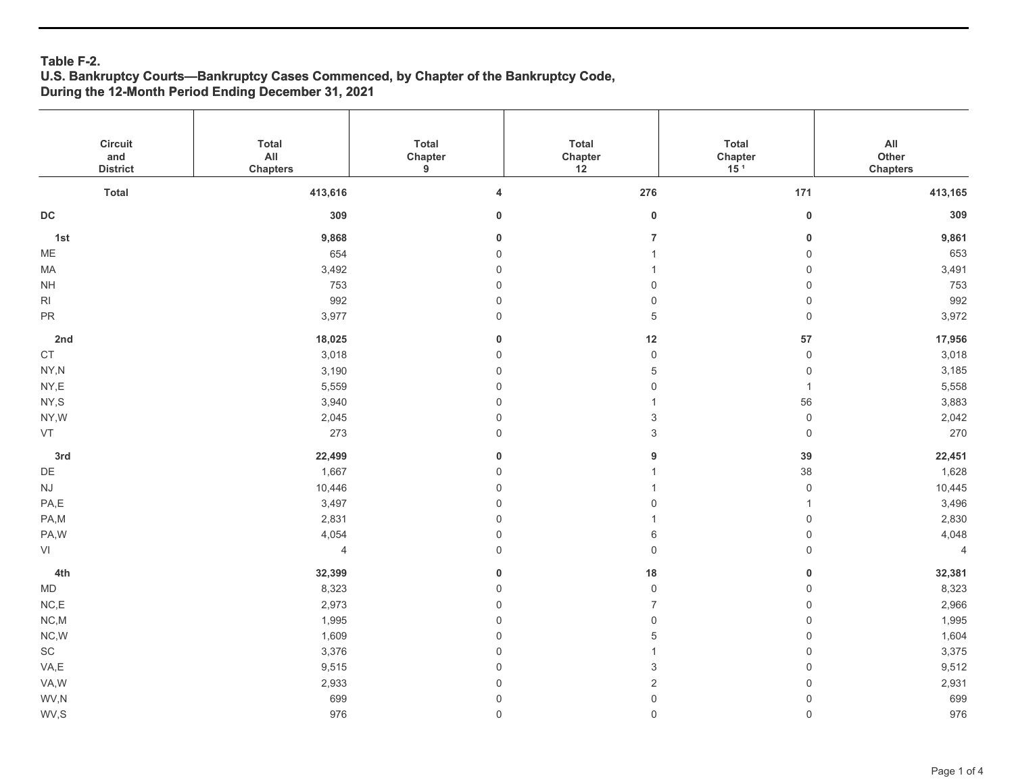### **Table F-2. U.S. Bankruptcy Courts—Bankruptcy Cases Commenced, by Chapter of the Bankruptcy Code, During the 12-Month Period Ending December 31, 2021**

| Circuit<br>and            | <b>Total</b><br>$\mathsf{All}$ | Total<br>Chapter        | Total<br>Chapter    | Total                      | $\mathsf{All}\xspace$<br>Other |
|---------------------------|--------------------------------|-------------------------|---------------------|----------------------------|--------------------------------|
| <b>District</b>           | <b>Chapters</b>                | $\boldsymbol{9}$        | 12                  | Chapter<br>15 <sup>1</sup> | <b>Chapters</b>                |
| <b>Total</b>              | 413,616                        | $\overline{\mathbf{4}}$ | 276                 | 171                        | 413,165                        |
| $\mathsf{DC}$             | 309                            | $\mathbf 0$             | $\mathbf 0$         | $\pmb{0}$                  | 309                            |
| 1st                       | 9,868                          | $\pmb{0}$               | $\overline{7}$      | $\pmb{0}$                  | 9,861                          |
| $ME$                      | 654                            | $\mathbf 0$             | $\overline{1}$      | $\mathsf 0$                | 653                            |
| MA                        | 3,492                          | $\mathbf 0$             | $\overline{1}$      | $\mathsf{O}\xspace$        | 3,491                          |
| $\mathsf{NH}\,$           | 753                            | $\mathbf 0$             | $\mathbf 0$         | $\mathsf 0$                | 753                            |
| RI                        | 992                            | $\mathsf{O}\xspace$     | $\mathsf{O}\xspace$ | $\mathsf{O}\xspace$        | 992                            |
| ${\sf PR}$                | 3,977                          | $\mathsf{O}\xspace$     | 5                   | $\mathsf{O}\xspace$        | 3,972                          |
| 2nd                       | 18,025                         | $\mathbf 0$             | 12                  | 57                         | 17,956                         |
| $\mathsf{CT}$             | 3,018                          | $\mathsf{O}\xspace$     | $\mathsf{O}\xspace$ | $\mathsf{O}\xspace$        | 3,018                          |
| $\mathsf{NY},\mathsf{N}$  | 3,190                          | $\mathsf 0$             | 5                   | $\mathsf{O}\xspace$        | 3,185                          |
| $\mathsf{NY}, \mathsf{E}$ | 5,559                          | $\mathsf{O}\xspace$     | $\mathsf 0$         | $\mathbf{1}$               | 5,558                          |
| NY,S                      | 3,940                          | $\mathsf{O}\xspace$     | $\overline{1}$      | 56                         | 3,883                          |
| NY,W                      | 2,045                          | $\mathsf 0$             | 3                   | $\mathsf{O}\xspace$        | 2,042                          |
| VT                        | 273                            | $\mathsf{O}\xspace$     | $\mathfrak{S}$      | $\mathsf{O}\xspace$        | 270                            |
| 3rd                       | 22,499                         | $\pmb{0}$               | 9                   | 39                         | 22,451                         |
| $\mathsf{D}\mathsf{E}$    | 1,667                          | $\mathbf 0$             | $\mathbf{1}$        | 38                         | 1,628                          |
| $\mathsf{N}\mathsf{J}$    | 10,446                         | $\mathsf 0$             | $\overline{1}$      | $\mathsf{O}\xspace$        | 10,445                         |
| PA,E                      | 3,497                          | $\mathsf{O}\xspace$     | 0                   | $\mathbf{1}$               | 3,496                          |
| PA,M                      | 2,831                          | $\mathbf 0$             | $\overline{1}$      | $\mathsf{O}\xspace$        | 2,830                          |
| PA,W                      | 4,054                          | $\mathbf 0$             | 6                   | $\mathsf 0$                | 4,048                          |
| VI                        | $\overline{4}$                 | $\mathbf 0$             | $\mathsf 0$         | $\mathsf{O}\xspace$        | $\overline{4}$                 |
| 4th                       | 32,399                         | $\bf{0}$                | $18\,$              | $\pmb{0}$                  | 32,381                         |
| $\mathsf{MD}$             | 8,323                          | $\mathbf 0$             | $\mathsf{O}\xspace$ | $\mathsf{O}\xspace$        | 8,323                          |
| $\mathsf{NC},\mathsf{E}$  | 2,973                          | $\mathbf 0$             | $\overline{7}$      | $\mathsf 0$                | 2,966                          |
| $NC,M$                    | 1,995                          | $\mathbf 0$             | $\mathsf 0$         | $\mathsf{O}\xspace$        | 1,995                          |
| $NC,W$                    | 1,609                          | $\mathbf 0$             | 5                   | $\mathsf{O}\xspace$        | 1,604                          |
| $\operatorname{SC}$       | 3,376                          | $\,0\,$                 | $\overline{1}$      | $\mathsf{O}\xspace$        | 3,375                          |
| VA,E                      | 9,515                          | $\mathsf{O}\xspace$     | 3                   | $\mathsf{O}\xspace$        | 9,512                          |
| VA,W                      | 2,933                          | $\mathsf{O}\xspace$     | $\sqrt{2}$          | $\mathsf{O}\xspace$        | 2,931                          |
| WV,N                      | 699                            | $\mathsf{O}\xspace$     | $\mathsf{O}\xspace$ | $\mathsf{O}\xspace$        | 699                            |
| WV,S                      | 976                            | $\mathsf{O}$            | $\mathsf{O}$        | $\mathsf{O}\xspace$        | 976                            |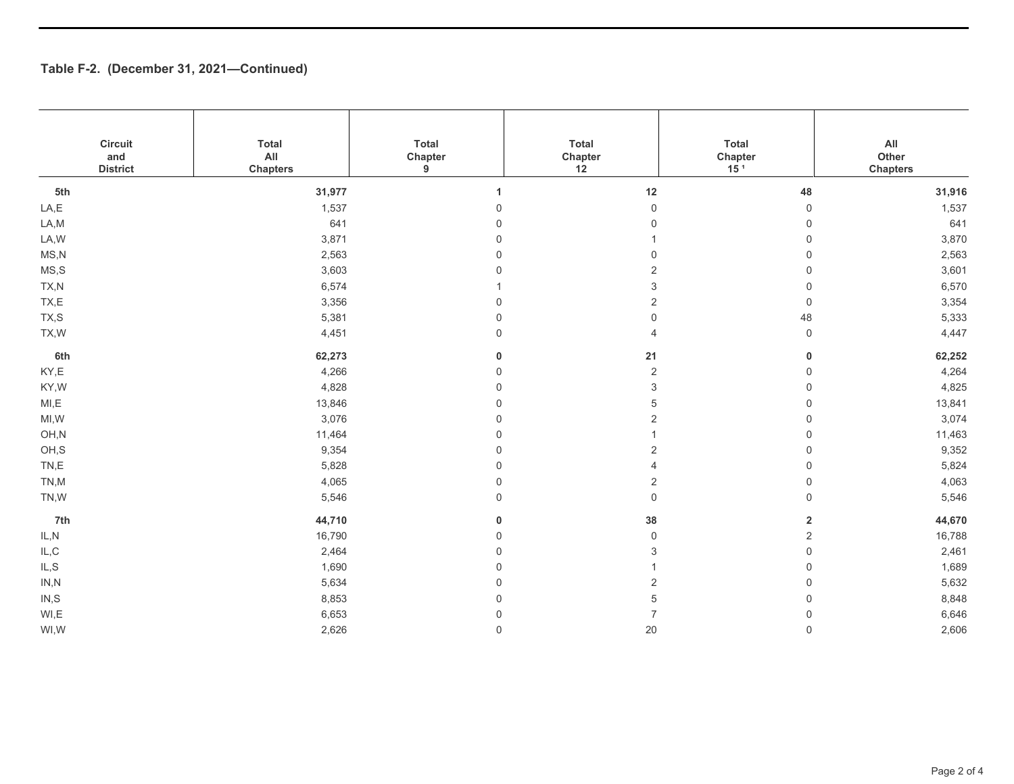| Circuit<br>and<br><b>District</b> | <b>Total</b><br>$\mathsf{All}$<br><b>Chapters</b> | Total<br>Chapter<br>9 | Total<br>Chapter<br>12    | Total<br>Chapter<br>15 <sup>1</sup> | $\mathsf{All}\xspace$<br>Other<br><b>Chapters</b> |
|-----------------------------------|---------------------------------------------------|-----------------------|---------------------------|-------------------------------------|---------------------------------------------------|
| 5th                               | 31,977                                            | $\mathbf{1}$          | $12\,$                    | 48                                  | 31,916                                            |
| LA,E                              | 1,537                                             | $\mathbf 0$           | $\mathsf 0$               | $\mathsf 0$                         | 1,537                                             |
| LA,M                              | 641                                               | $\mathbf 0$           | $\mathbf 0$               | $\mathbf 0$                         | 641                                               |
| LA, W                             | 3,871                                             | $\mathbf 0$           | 1                         | $\mathsf 0$                         | 3,870                                             |
| MS, N                             | 2,563                                             | $\mathbf 0$           | $\mathbf 0$               | $\mathbf 0$                         | 2,563                                             |
| MS, S                             | 3,603                                             | $\mathbf 0$           | $\overline{2}$            | $\mathsf 0$                         | 3,601                                             |
| TX,N                              | 6,574                                             |                       | $\ensuremath{\mathsf{3}}$ | $\mathsf 0$                         | 6,570                                             |
| TX,E                              | 3,356                                             | $\mathbf 0$           | $\overline{2}$            | $\mathbf 0$                         | 3,354                                             |
| TX,S                              | 5,381                                             | $\mathbf 0$           | $\mathbf 0$               | 48                                  | 5,333                                             |
| TX, W                             | 4,451                                             | $\mathbf 0$           | $\overline{4}$            | $\mathsf 0$                         | 4,447                                             |
| 6th                               | 62,273                                            | 0                     | 21                        | $\pmb{0}$                           | 62,252                                            |
| KY,E                              | 4,266                                             | $\mathbf 0$           | $\sqrt{2}$                | $\mathsf{O}\xspace$                 | 4,264                                             |
| KY,W                              | 4,828                                             | $\mathbf 0$           | 3                         | $\mathbf 0$                         | 4,825                                             |
| MI, E                             | 13,846                                            | $\mathbf 0$           | 5                         | $\mathsf{O}\xspace$                 | 13,841                                            |
| MI, W                             | 3,076                                             | $\mathbf 0$           | $\sqrt{2}$                | $\mathsf 0$                         | 3,074                                             |
| OH,N                              | 11,464                                            | $\mathbf 0$           | 1                         | $\mathsf 0$                         | 11,463                                            |
| OH,S                              | 9,354                                             | $\mathbf 0$           | $\overline{2}$            | $\mathsf{O}\xspace$                 | 9,352                                             |
| TN,E                              | 5,828                                             | $\mathbf 0$           | 4                         | $\mathsf 0$                         | 5,824                                             |
| TN,M                              | 4,065                                             | $\mathbf 0$           | $\sqrt{2}$                | $\mathsf 0$                         | 4,063                                             |
| TN,W                              | 5,546                                             | $\mathbf 0$           | $\mathsf 0$               | $\mathsf 0$                         | 5,546                                             |
| 7th                               | 44,710                                            | 0                     | 38                        | $\mathbf 2$                         | 44,670                                            |
| IL, N                             | 16,790                                            | $\mathbf 0$           | $\mathsf 0$               | $\mathbf 2$                         | 16,788                                            |
| $\mathsf{IL}, \mathsf{C}$         | 2,464                                             | $\mathbf 0$           | 3                         | $\mathsf 0$                         | 2,461                                             |
| IL, S                             | 1,690                                             | $\mathbf 0$           | 1                         | $\mathbf 0$                         | 1,689                                             |
| IN, N                             | 5,634                                             | $\mathbf 0$           | $\overline{2}$            | $\mathsf 0$                         | 5,632                                             |
| IN, S                             | 8,853                                             | $\mathbf 0$           | 5                         | $\mathsf 0$                         | 8,848                                             |
| WI,E                              | 6,653                                             | $\mathbf 0$           | $\overline{7}$            | $\mathsf 0$                         | 6,646                                             |
| WI,W                              | 2,626                                             | $\mathbf 0$           | 20                        | $\mathbf 0$                         | 2,606                                             |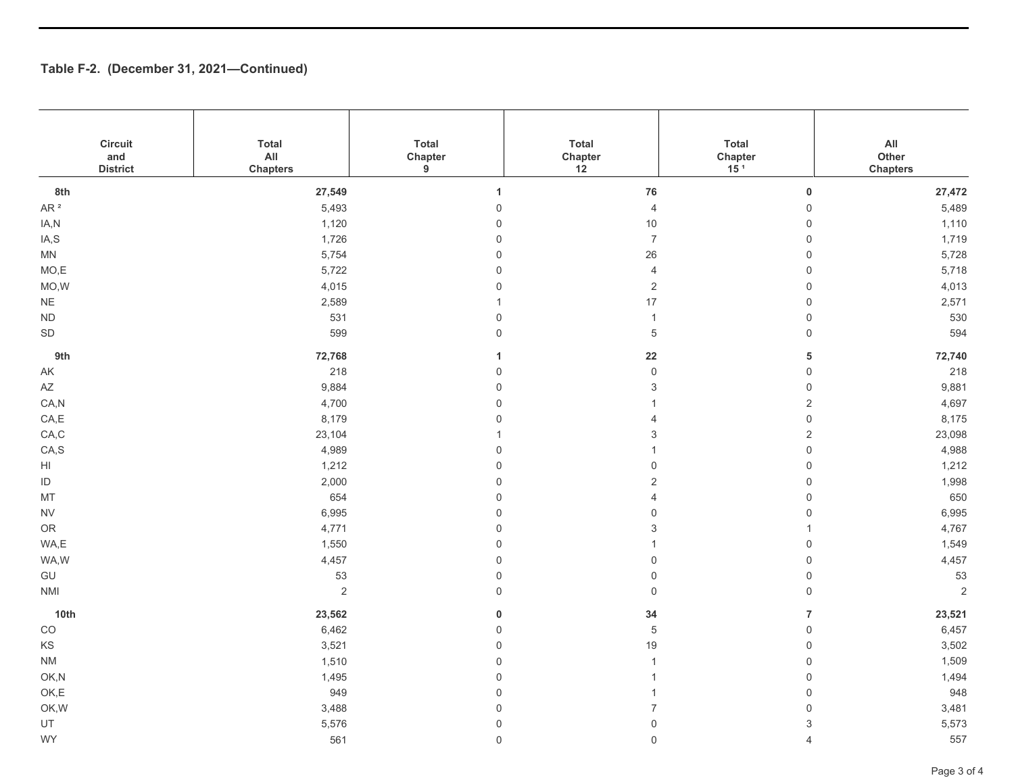| Circuit<br>and<br><b>District</b>                          | <b>Total</b><br>AII<br><b>Chapters</b> | Total<br>Chapter<br>9 | Total<br>Chapter<br>12  | <b>Total</b><br>Chapter<br>15 <sup>1</sup> | $\mathsf{All}\xspace$<br>Other<br><b>Chapters</b> |
|------------------------------------------------------------|----------------------------------------|-----------------------|-------------------------|--------------------------------------------|---------------------------------------------------|
| 8th                                                        | 27,549                                 | 1                     | ${\bf 76}$              | $\pmb{0}$                                  | 27,472                                            |
| AR $^{\rm 2}$                                              | 5,493                                  | $\mathsf{O}\xspace$   | $\overline{4}$          | $\mathbf 0$                                | 5,489                                             |
| IA,N                                                       | 1,120                                  | $\mathsf{O}\xspace$   | $10$                    | $\mathsf{O}\xspace$                        | 1,110                                             |
| IA,S                                                       | 1,726                                  | $\mathbf 0$           | $\boldsymbol{7}$        | $\mathsf{O}\xspace$                        | 1,719                                             |
| <b>MN</b>                                                  | 5,754                                  | $\mathbf 0$           | 26                      | $\mathbf 0$                                | 5,728                                             |
| MO,E                                                       | 5,722                                  | $\mathbf 0$           | $\overline{4}$          | $\mathsf{O}\xspace$                        | 5,718                                             |
| MO, W                                                      | 4,015                                  | $\mathsf{O}\xspace$   | $\overline{2}$          | $\mathbf 0$                                | 4,013                                             |
| $\mathsf{NE}\xspace$                                       | 2,589                                  |                       | 17                      | $\mathsf{O}\xspace$                        | 2,571                                             |
| $\sf ND$                                                   | 531                                    | $\mathsf{O}\xspace$   | $\mathbf{1}$            | $\mathsf{O}\xspace$                        | 530                                               |
| $\mathsf{SD}$                                              | 599                                    | $\mathbf 0$           | $\,$ 5 $\,$             | $\mathbf 0$                                | 594                                               |
| 9th                                                        | 72,768                                 | 1                     | ${\bf 22}$              | 5                                          | 72,740                                            |
| $\mathsf{AK}$                                              | 218                                    | $\mathsf{O}\xspace$   | $\mathsf{O}\xspace$     | $\mathbf 0$                                | 218                                               |
| $\mathsf{A}\mathsf{Z}$                                     | 9,884                                  | $\mathbf 0$           | 3                       | $\mathbf 0$                                | 9,881                                             |
| CA, N                                                      | 4,700                                  | $\mathbf 0$           | $\overline{1}$          | $\overline{c}$                             | 4,697                                             |
| CA, E                                                      | 8,179                                  | $\overline{0}$        | $\overline{4}$          | $\mathbf 0$                                | 8,175                                             |
| CA,C                                                       | 23,104                                 |                       | 3                       | $\mathbf 2$                                | 23,098                                            |
| CA, S                                                      | 4,989                                  | $\,0\,$               | $\mathbf{1}$            | $\mathbf 0$                                | 4,988                                             |
| $\mathsf{HI}$                                              | 1,212                                  | $\mathsf{O}\xspace$   | 0                       | $\mathsf{O}\xspace$                        | 1,212                                             |
| $\sf ID$                                                   | 2,000                                  | $\,0\,$               | $\overline{\mathbf{c}}$ | $\mathsf{O}\xspace$                        | 1,998                                             |
| MT                                                         | 654                                    | $\mathbf 0$           | $\overline{4}$          | $\mathsf{O}\xspace$                        | 650                                               |
| <b>NV</b>                                                  | 6,995                                  | $\mathbf 0$           | 0                       | $\mathbf 0$                                | 6,995                                             |
| OR                                                         | 4,771                                  | $\overline{0}$        | 3                       | $\mathbf{1}$                               | 4,767                                             |
| WA,E                                                       | 1,550                                  | $\,0\,$               | $\mathbf{1}$            | $\mathsf{O}\xspace$                        | 1,549                                             |
| WA,W                                                       | 4,457                                  | $\mathsf{O}\xspace$   | 0                       | $\mathsf{O}\xspace$                        | 4,457                                             |
| $\mathsf{GU}% _{\mathsf{C}}^{\mathsf{C}}(\mathcal{M}_{0})$ | 53                                     | $\mathsf{O}\xspace$   | $\mathsf 0$             | $\mathsf{O}\xspace$                        | 53                                                |
| <b>NMI</b>                                                 | $\sqrt{2}$                             | $\mathbf 0$           | $\mathsf{O}\xspace$     | $\mathbf 0$                                | $\sqrt{2}$                                        |
| 10th                                                       | 23,562                                 | $\bf{0}$              | 34                      | $\overline{7}$                             | 23,521                                            |
| $_{\rm CO}$                                                | 6,462                                  | $\mathsf{O}\xspace$   | $\,$ 5 $\,$             | $\mathbf 0$                                | 6,457                                             |
| KS                                                         | 3,521                                  | $\mathsf{O}\xspace$   | 19                      | $\mathsf{O}\xspace$                        | 3,502                                             |
| $\mathsf{N}\mathsf{M}$                                     | 1,510                                  | $\mathsf{O}\xspace$   | $\mathbf{1}$            | $\mathbf 0$                                | 1,509                                             |
| OK,N                                                       | 1,495                                  | $\mathbf 0$           | $\overline{1}$          | $\mathsf{O}\xspace$                        | 1,494                                             |
| OK,E                                                       | 949                                    | $\mathbf 0$           | $\mathbf{1}$            | $\mathsf{O}\xspace$                        | 948                                               |
| OK, W                                                      | 3,488                                  | $\mathbf 0$           | $\overline{7}$          | $\mathbf 0$                                | 3,481                                             |
| UT                                                         | 5,576                                  | $\mathsf 0$           | $\mathsf{O}\xspace$     | $\ensuremath{\mathsf{3}}$                  | 5,573                                             |
| WY                                                         | 561                                    | $\mathbf 0$           | $\mathsf{O}$            | $\overline{4}$                             | 557                                               |